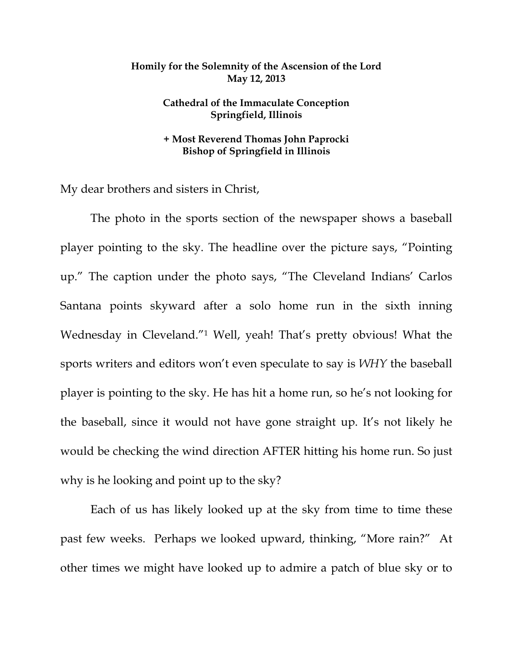## **Homily for the Solemnity of the Ascension of the Lord May 12, 2013**

## **Cathedral of the Immaculate Conception Springfield, Illinois**

## **+ Most Reverend Thomas John Paprocki Bishop of Springfield in Illinois**

My dear brothers and sisters in Christ,

 The photo in the sports section of the newspaper shows a baseball player pointing to the sky. The headline over the picture says, "Pointing up." The caption under the photo says, "The Cleveland Indians' Carlos Santana points skyward after a solo home run in the sixth inning Wednesday in Cleveland."1 Well, yeah! That's pretty obvious! What the sports writers and editors won't even speculate to say is *WHY* the baseball player is pointing to the sky. He has hit a home run, so he's not looking for the baseball, since it would not have gone straight up. It's not likely he would be checking the wind direction AFTER hitting his home run. So just why is he looking and point up to the sky?

Each of us has likely looked up at the sky from time to time these past few weeks. Perhaps we looked upward, thinking, "More rain?" At other times we might have looked up to admire a patch of blue sky or to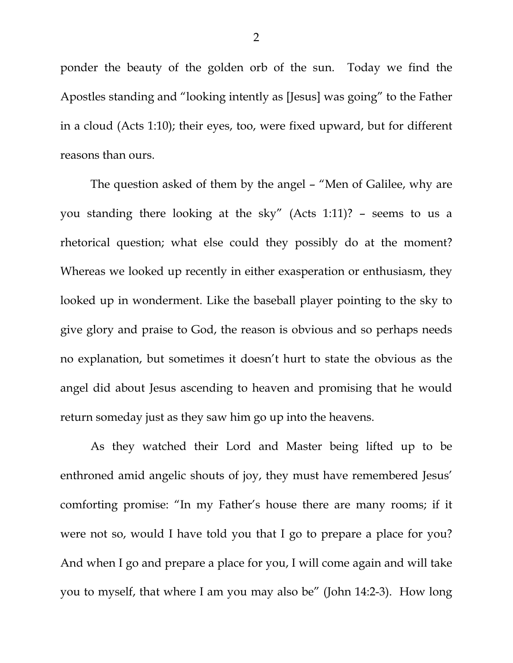ponder the beauty of the golden orb of the sun. Today we find the Apostles standing and "looking intently as [Jesus] was going" to the Father in a cloud (Acts 1:10); their eyes, too, were fixed upward, but for different reasons than ours.

 The question asked of them by the angel – "Men of Galilee, why are you standing there looking at the sky" (Acts 1:11)? – seems to us a rhetorical question; what else could they possibly do at the moment? Whereas we looked up recently in either exasperation or enthusiasm, they looked up in wonderment. Like the baseball player pointing to the sky to give glory and praise to God, the reason is obvious and so perhaps needs no explanation, but sometimes it doesn't hurt to state the obvious as the angel did about Jesus ascending to heaven and promising that he would return someday just as they saw him go up into the heavens.

 As they watched their Lord and Master being lifted up to be enthroned amid angelic shouts of joy, they must have remembered Jesus' comforting promise: "In my Father's house there are many rooms; if it were not so, would I have told you that I go to prepare a place for you? And when I go and prepare a place for you, I will come again and will take you to myself, that where I am you may also be" (John 14:2-3). How long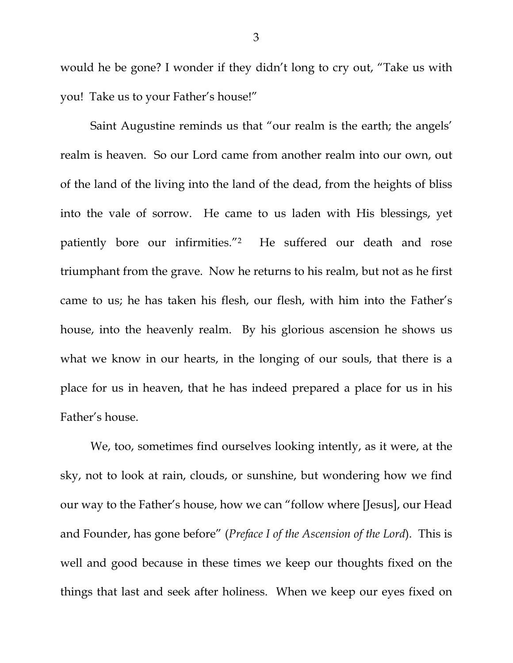would he be gone? I wonder if they didn't long to cry out, "Take us with you! Take us to your Father's house!"

 Saint Augustine reminds us that "our realm is the earth; the angels' realm is heaven. So our Lord came from another realm into our own, out of the land of the living into the land of the dead, from the heights of bliss into the vale of sorrow. He came to us laden with His blessings, yet patiently bore our infirmities."2 He suffered our death and rose triumphant from the grave. Now he returns to his realm, but not as he first came to us; he has taken his flesh, our flesh, with him into the Father's house, into the heavenly realm. By his glorious ascension he shows us what we know in our hearts, in the longing of our souls, that there is a place for us in heaven, that he has indeed prepared a place for us in his Father's house.

 We, too, sometimes find ourselves looking intently, as it were, at the sky, not to look at rain, clouds, or sunshine, but wondering how we find our way to the Father's house, how we can "follow where [Jesus], our Head and Founder, has gone before" (*Preface I of the Ascension of the Lord*). This is well and good because in these times we keep our thoughts fixed on the things that last and seek after holiness. When we keep our eyes fixed on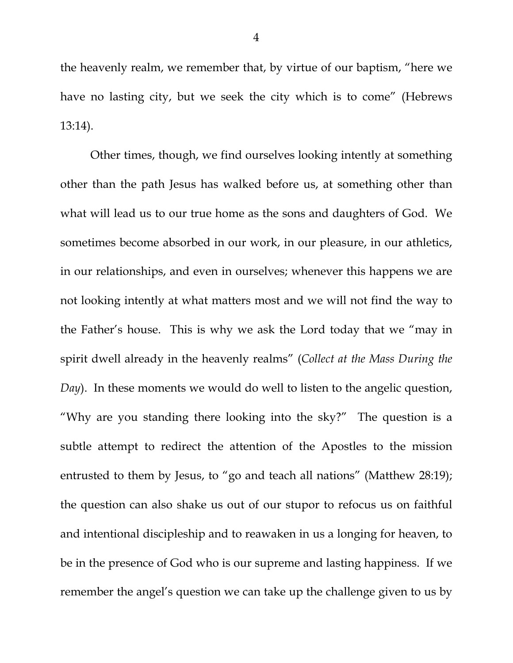the heavenly realm, we remember that, by virtue of our baptism, "here we have no lasting city, but we seek the city which is to come" (Hebrews 13:14).

 Other times, though, we find ourselves looking intently at something other than the path Jesus has walked before us, at something other than what will lead us to our true home as the sons and daughters of God. We sometimes become absorbed in our work, in our pleasure, in our athletics, in our relationships, and even in ourselves; whenever this happens we are not looking intently at what matters most and we will not find the way to the Father's house. This is why we ask the Lord today that we "may in spirit dwell already in the heavenly realms" (*Collect at the Mass During the Day*). In these moments we would do well to listen to the angelic question, "Why are you standing there looking into the sky?" The question is a subtle attempt to redirect the attention of the Apostles to the mission entrusted to them by Jesus, to "go and teach all nations" (Matthew 28:19); the question can also shake us out of our stupor to refocus us on faithful and intentional discipleship and to reawaken in us a longing for heaven, to be in the presence of God who is our supreme and lasting happiness. If we remember the angel's question we can take up the challenge given to us by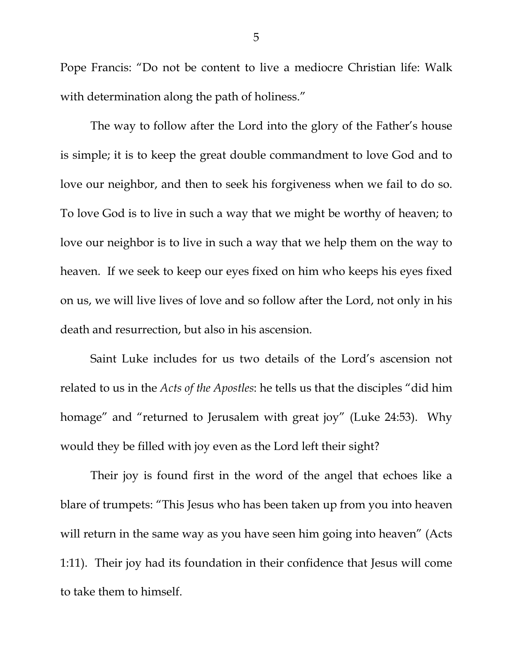Pope Francis: "Do not be content to live a mediocre Christian life: Walk with determination along the path of holiness."

 The way to follow after the Lord into the glory of the Father's house is simple; it is to keep the great double commandment to love God and to love our neighbor, and then to seek his forgiveness when we fail to do so. To love God is to live in such a way that we might be worthy of heaven; to love our neighbor is to live in such a way that we help them on the way to heaven. If we seek to keep our eyes fixed on him who keeps his eyes fixed on us, we will live lives of love and so follow after the Lord, not only in his death and resurrection, but also in his ascension.

 Saint Luke includes for us two details of the Lord's ascension not related to us in the *Acts of the Apostles*: he tells us that the disciples "did him homage" and "returned to Jerusalem with great joy" (Luke 24:53). Why would they be filled with joy even as the Lord left their sight?

 Their joy is found first in the word of the angel that echoes like a blare of trumpets: "This Jesus who has been taken up from you into heaven will return in the same way as you have seen him going into heaven" (Acts 1:11). Their joy had its foundation in their confidence that Jesus will come to take them to himself.